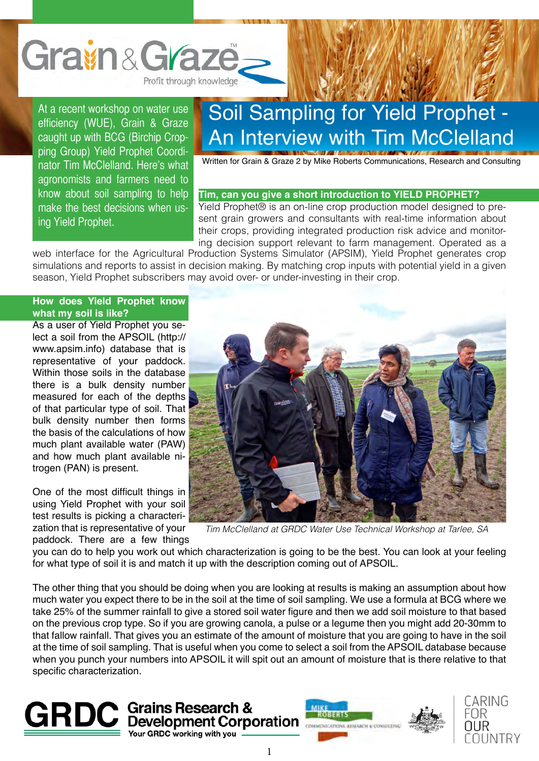

At a recent workshop on water use efficiency (WUE), Grain & Graze caught up with BCG (Birchip Cropping Group) Yield Prophet Coordinator Tim McClelland. Here's what agronomists and farmers need to know about soil sampling to help make the best decisions when using Yield Prophet.

## Soil Sampling for Yield Prophet - An Interview with Tim McClelland

Written for Grain & Graze 2 by Mike Roberts Communications, Research and Consulting

## **Tim, can you give a short introduction to YIELD PROPHET?**

Yield Prophet® is an on-line crop production model designed to present grain growers and consultants with real-time information about their crops, providing integrated production risk advice and monitoring decision support relevant to farm management. Operated as a

web interface for the Agricultural Production Systems Simulator (APSIM), Yield Prophet generates crop simulations and reports to assist in decision making. By matching crop inputs with potential yield in a given season, Yield Prophet subscribers may avoid over- or under-investing in their crop.

## **How does Yield Prophet know what my soil is like?**

As a user of Yield Prophet you select a soil from the APSOIL (http:// www.apsim.info) database that is representative of your paddock. Within those soils in the database there is a bulk density number measured for each of the depths of that particular type of soil. That bulk density number then forms the basis of the calculations of how much plant available water (PAW) and how much plant available nitrogen (PAN) is present.

One of the most difficult things in using Yield Prophet with your soil test results is picking a characterization that is representative of your paddock. There are a few things



*Tim McClelland at GRDC Water Use Technical Workshop at Tarlee, SA*

you can do to help you work out which characterization is going to be the best. You can look at your feeling for what type of soil it is and match it up with the description coming out of APSOIL.

The other thing that you should be doing when you are looking at results is making an assumption about how much water you expect there to be in the soil at the time of soil sampling. We use a formula at BCG where we take 25% of the summer rainfall to give a stored soil water figure and then we add soil moisture to that based on the previous crop type. So if you are growing canola, a pulse or a legume then you might add 20-30mm to that fallow rainfall. That gives you an estimate of the amount of moisture that you are going to have in the soil at the time of soil sampling. That is useful when you come to select a soil from the APSOIL database because when you punch your numbers into APSOIL it will spit out an amount of moisture that is there relative to that specific characterization.





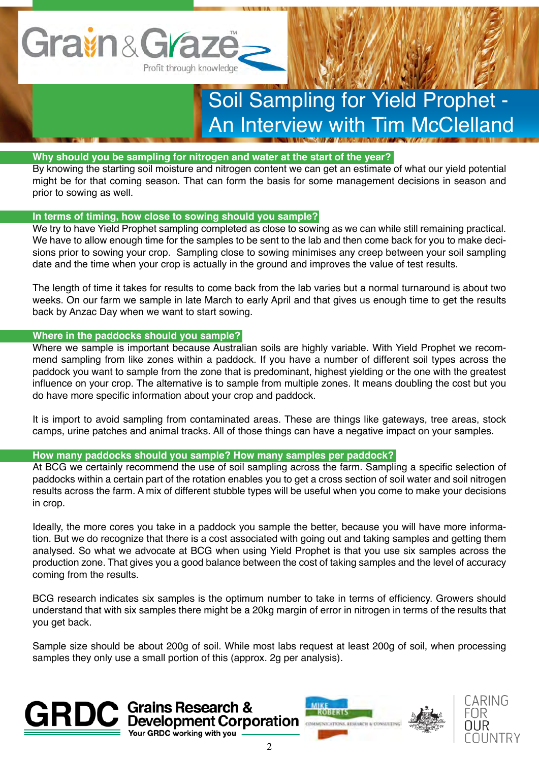

# Soil Sampling for Yield Prophet - An Interview with Tim McClelland

## **Why should you be sampling for nitrogen and water at the start of the year?**

By knowing the starting soil moisture and nitrogen content we can get an estimate of what our yield potential might be for that coming season. That can form the basis for some management decisions in season and prior to sowing as well.

## **In terms of timing, how close to sowing should you sample?**

We try to have Yield Prophet sampling completed as close to sowing as we can while still remaining practical. We have to allow enough time for the samples to be sent to the lab and then come back for you to make decisions prior to sowing your crop. Sampling close to sowing minimises any creep between your soil sampling date and the time when your crop is actually in the ground and improves the value of test results.

The length of time it takes for results to come back from the lab varies but a normal turnaround is about two weeks. On our farm we sample in late March to early April and that gives us enough time to get the results back by Anzac Day when we want to start sowing.

## **Where in the paddocks should you sample?**

Where we sample is important because Australian soils are highly variable. With Yield Prophet we recommend sampling from like zones within a paddock. If you have a number of different soil types across the paddock you want to sample from the zone that is predominant, highest yielding or the one with the greatest influence on your crop. The alternative is to sample from multiple zones. It means doubling the cost but you do have more specific information about your crop and paddock.

It is import to avoid sampling from contaminated areas. These are things like gateways, tree areas, stock camps, urine patches and animal tracks. All of those things can have a negative impact on your samples.

## **How many paddocks should you sample? How many samples per paddock?**

**GRDC** working with you

At BCG we certainly recommend the use of soil sampling across the farm. Sampling a specific selection of paddocks within a certain part of the rotation enables you to get a cross section of soil water and soil nitrogen results across the farm. A mix of different stubble types will be useful when you come to make your decisions in crop.

Ideally, the more cores you take in a paddock you sample the better, because you will have more information. But we do recognize that there is a cost associated with going out and taking samples and getting them analysed. So what we advocate at BCG when using Yield Prophet is that you use six samples across the production zone. That gives you a good balance between the cost of taking samples and the level of accuracy coming from the results.

BCG research indicates six samples is the optimum number to take in terms of efficiency. Growers should understand that with six samples there might be a 20kg margin of error in nitrogen in terms of the results that you get back.

Sample size should be about 200g of soil. While most labs request at least 200g of soil, when processing samples they only use a small portion of this (approx. 2g per analysis).





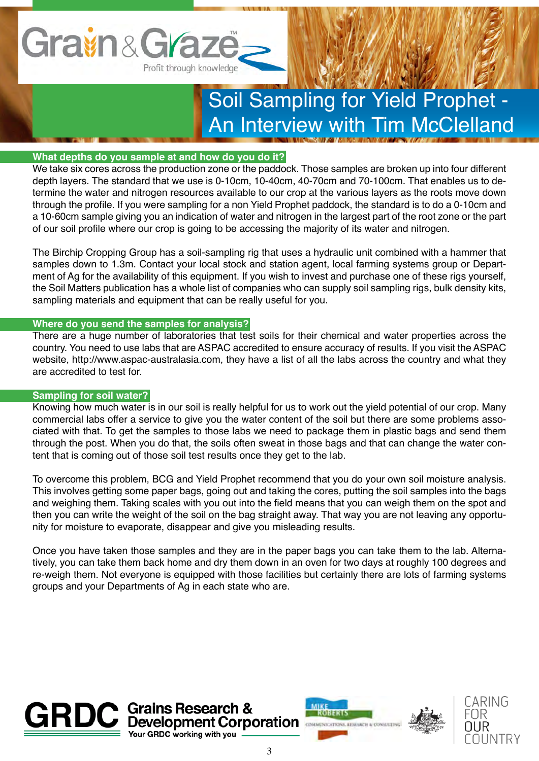

## Soil Sampling for Yield Prophet - An Interview with Tim McClelland

## **What depths do you sample at and how do you do it?**

We take six cores across the production zone or the paddock. Those samples are broken up into four different depth layers. The standard that we use is 0-10cm, 10-40cm, 40-70cm and 70-100cm. That enables us to determine the water and nitrogen resources available to our crop at the various layers as the roots move down through the profile. If you were sampling for a non Yield Prophet paddock, the standard is to do a 0-10cm and a 10-60cm sample giving you an indication of water and nitrogen in the largest part of the root zone or the part of our soil profile where our crop is going to be accessing the majority of its water and nitrogen.

The Birchip Cropping Group has a soil-sampling rig that uses a hydraulic unit combined with a hammer that samples down to 1.3m. Contact your local stock and station agent, local farming systems group or Department of Ag for the availability of this equipment. If you wish to invest and purchase one of these rigs yourself, the Soil Matters publication has a whole list of companies who can supply soil sampling rigs, bulk density kits, sampling materials and equipment that can be really useful for you.

#### **Where do you send the samples for analysis?**

There are a huge number of laboratories that test soils for their chemical and water properties across the country. You need to use labs that are ASPAC accredited to ensure accuracy of results. If you visit the ASPAC website, http://www.aspac-australasia.com, they have a list of all the labs across the country and what they are accredited to test for.

## **Sampling for soil water?**

Knowing how much water is in our soil is really helpful for us to work out the yield potential of our crop. Many commercial labs offer a service to give you the water content of the soil but there are some problems associated with that. To get the samples to those labs we need to package them in plastic bags and send them through the post. When you do that, the soils often sweat in those bags and that can change the water content that is coming out of those soil test results once they get to the lab.

To overcome this problem, BCG and Yield Prophet recommend that you do your own soil moisture analysis. This involves getting some paper bags, going out and taking the cores, putting the soil samples into the bags and weighing them. Taking scales with you out into the field means that you can weigh them on the spot and then you can write the weight of the soil on the bag straight away. That way you are not leaving any opportunity for moisture to evaporate, disappear and give you misleading results.

Once you have taken those samples and they are in the paper bags you can take them to the lab. Alternatively, you can take them back home and dry them down in an oven for two days at roughly 100 degrees and re-weigh them. Not everyone is equipped with those facilities but certainly there are lots of farming systems groups and your Departments of Ag in each state who are.







CARING

**IINTRY** 

FNR